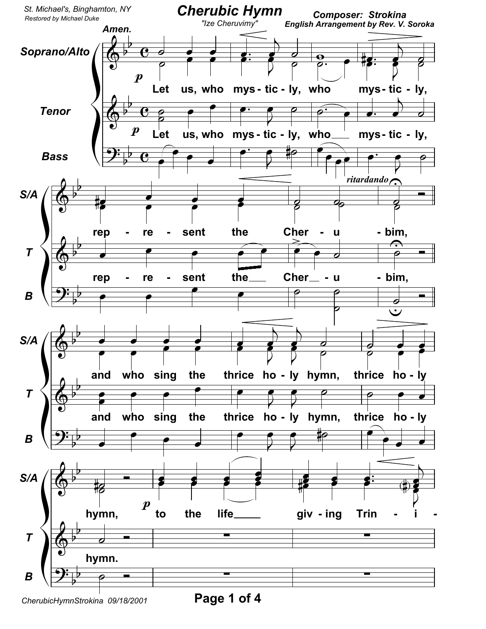

Page 1 of 4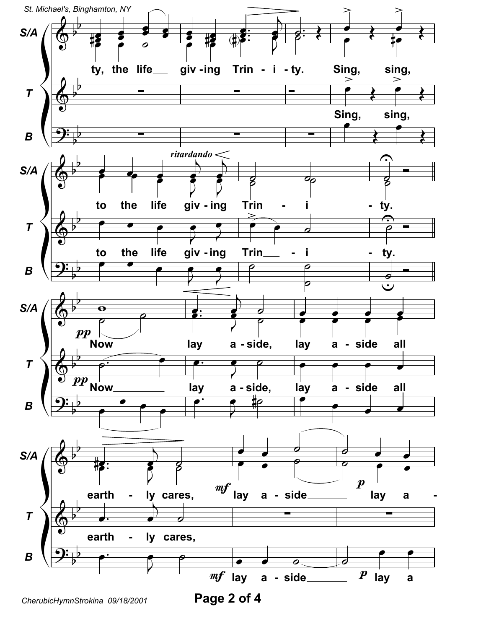

CherubicHymnStrokina 09/18/2001

Page 2 of 4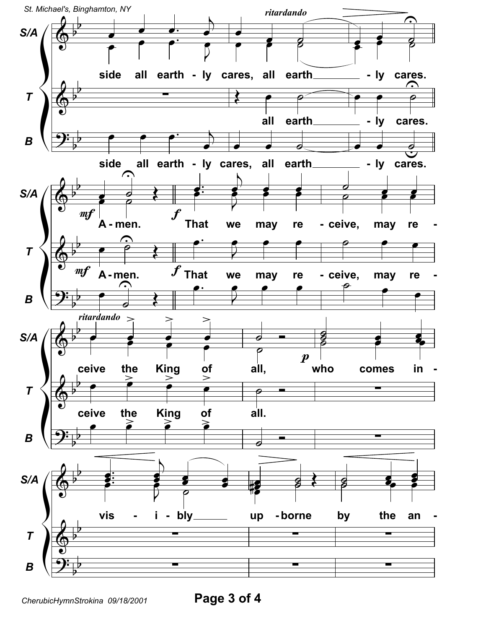

Page 3 of 4